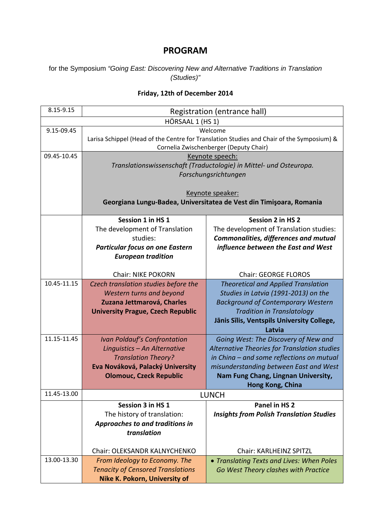## **PROGRAM**

## for the Symposium *"Going East: Discovering New and Alternative Traditions in Translation (Studies)"*

## **Friday, 12th of December 2014**

| 8.15-9.15        | Registration (entrance hall)                                                              |                                                      |  |  |  |
|------------------|-------------------------------------------------------------------------------------------|------------------------------------------------------|--|--|--|
| HÖRSAAL 1 (HS 1) |                                                                                           |                                                      |  |  |  |
| 9.15-09.45       | Welcome                                                                                   |                                                      |  |  |  |
|                  | Larisa Schippel (Head of the Centre for Translation Studies and Chair of the Symposium) & |                                                      |  |  |  |
|                  | Cornelia Zwischenberger (Deputy Chair)                                                    |                                                      |  |  |  |
| 09.45-10.45      |                                                                                           | Keynote speech:                                      |  |  |  |
|                  | Translationswissenschaft (Traductologie) in Mittel- und Osteuropa.                        |                                                      |  |  |  |
|                  | Forschungsrichtungen                                                                      |                                                      |  |  |  |
|                  | Keynote speaker:                                                                          |                                                      |  |  |  |
|                  | Georgiana Lungu-Badea, Universitatea de Vest din Timişoara, Romania                       |                                                      |  |  |  |
|                  |                                                                                           |                                                      |  |  |  |
|                  | Session 1 in HS 1                                                                         | <b>Session 2 in HS 2</b>                             |  |  |  |
|                  | The development of Translation                                                            | The development of Translation studies:              |  |  |  |
|                  | studies:                                                                                  | <b>Commonalities, differences and mutual</b>         |  |  |  |
|                  | <b>Particular focus on one Eastern</b>                                                    | influence between the East and West                  |  |  |  |
|                  | <b>European tradition</b>                                                                 |                                                      |  |  |  |
|                  |                                                                                           |                                                      |  |  |  |
|                  | <b>Chair: NIKE POKORN</b>                                                                 | <b>Chair: GEORGE FLOROS</b>                          |  |  |  |
| 10.45-11.15      | Czech translation studies before the                                                      | <b>Theoretical and Applied Translation</b>           |  |  |  |
|                  | Western turns and beyond                                                                  | Studies in Latvia (1991-2013) on the                 |  |  |  |
|                  | Zuzana Jettmarová, Charles                                                                | <b>Background of Contemporary Western</b>            |  |  |  |
|                  | <b>University Prague, Czech Republic</b>                                                  | <b>Tradition in Translatology</b>                    |  |  |  |
|                  |                                                                                           | Jānis Sīlis, Ventspils University College,<br>Latvia |  |  |  |
| 11.15-11.45      | <b>Ivan Poldauf's Confrontation</b>                                                       | Going West: The Discovery of New and                 |  |  |  |
|                  | Linguistics - An Alternative                                                              | Alternative Theories for Translation studies         |  |  |  |
|                  | <b>Translation Theory?</b>                                                                | in China - and some reflections on mutual            |  |  |  |
|                  | Eva Nováková, Palacký University                                                          | misunderstanding between East and West               |  |  |  |
|                  | <b>Olomouc, Czeck Republic</b>                                                            | Nam Fung Chang, Lingnan University,                  |  |  |  |
|                  |                                                                                           | Hong Kong, China                                     |  |  |  |
| 11.45-13.00      |                                                                                           | <b>LUNCH</b>                                         |  |  |  |
|                  | Session 3 in HS 1                                                                         | Panel in HS 2                                        |  |  |  |
|                  | The history of translation:                                                               | <b>Insights from Polish Translation Studies</b>      |  |  |  |
|                  | Approaches to and traditions in                                                           |                                                      |  |  |  |
|                  | translation                                                                               |                                                      |  |  |  |
|                  | Chair: OLEKSANDR KALNYCHENKO                                                              | <b>Chair: KARLHEINZ SPITZL</b>                       |  |  |  |
| 13.00-13.30      | From Ideology to Economy. The                                                             | • Translating Texts and Lives: When Poles            |  |  |  |
|                  | <b>Tenacity of Censored Translations</b>                                                  | Go West Theory clashes with Practice                 |  |  |  |
|                  | <b>Nike K. Pokorn, University of</b>                                                      |                                                      |  |  |  |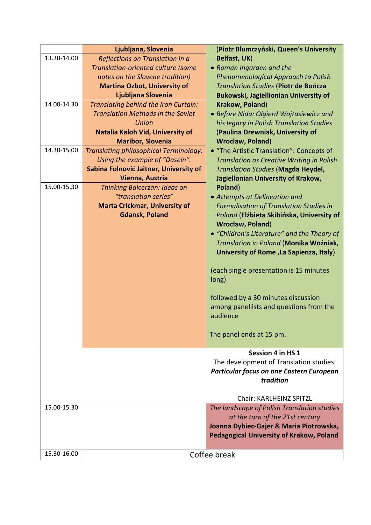|             | Ljubljana, Slovenia                      | (Piotr Blumczyński, Queen's University                |  |
|-------------|------------------------------------------|-------------------------------------------------------|--|
| 13.30-14.00 | Reflections on Translation in a          | <b>Belfast, UK)</b>                                   |  |
|             | Translation-oriented culture (some       | • Roman Ingarden and the                              |  |
|             | notes on the Slovene tradition)          | Phenomenological Approach to Polish                   |  |
|             | <b>Martina Ozbot, University of</b>      | Translation Studies (Piotr de Bończa                  |  |
|             | Ljubljana Slovenia                       | Bukowski, Jagiellionian University of                 |  |
| 14.00-14.30 | Translating behind the Iron Curtain:     | Krakow, Poland)                                       |  |
|             | <b>Translation Methods in the Soviet</b> | • Before Nida: Olgierd Wojtasiewicz and               |  |
|             | <b>Union</b>                             | his legacy in Polish Translation Studies              |  |
|             | Natalia Kaloh Vid, University of         | (Paulina Drewniak, University of                      |  |
|             | <b>Maribor, Slovenia</b>                 | <b>Wroclaw, Poland)</b>                               |  |
| 14.30-15.00 | Translating philosophical Terminology.   | • "The Artistic Translation": Concepts of             |  |
|             | Using the example of "Dasein".           | Translation as Creative Writing in Polish             |  |
|             | Sabina Folnović Jaitner, University of   | Translation Studies (Magda Heydel,                    |  |
|             | Vienna, Austria                          | Jagiellonian University of Krakow,                    |  |
| 15.00-15.30 | Thinking Balcerzan: Ideas on             | Poland)                                               |  |
|             | "translation series"                     | • Attempts at Delineation and                         |  |
|             | <b>Marta Crickmar, University of</b>     | <b>Formalisation of Translation Studies in</b>        |  |
|             | <b>Gdansk, Poland</b>                    | Poland (Elżbieta Skibińska, University of             |  |
|             |                                          | <b>Wrocław, Poland)</b>                               |  |
|             |                                          | • "Children's Literature" and the Theory of           |  |
|             |                                          | Translation in Poland (Monika Woźniak,                |  |
|             |                                          | University of Rome, La Sapienza, Italy)               |  |
|             |                                          |                                                       |  |
|             |                                          | (each single presentation is 15 minutes               |  |
|             |                                          | long)                                                 |  |
|             |                                          |                                                       |  |
|             |                                          | followed by a 30 minutes discussion                   |  |
|             |                                          | among panellists and questions from the               |  |
|             |                                          | audience                                              |  |
|             |                                          |                                                       |  |
|             |                                          | The panel ends at 15 pm.                              |  |
|             |                                          | Session 4 in HS 1                                     |  |
|             |                                          | The development of Translation studies:               |  |
|             |                                          |                                                       |  |
|             |                                          | Particular focus on one Eastern European<br>tradition |  |
|             |                                          |                                                       |  |
|             |                                          | <b>Chair: KARLHEINZ SPITZL</b>                        |  |
| 15.00-15.30 |                                          | The landscape of Polish Translation studies           |  |
|             |                                          | at the turn of the 21st century                       |  |
|             |                                          | Joanna Dybiec-Gajer & Maria Piotrowska,               |  |
|             |                                          | Pedagogical University of Krakow, Poland              |  |
|             |                                          |                                                       |  |
| 15.30-16.00 | Coffee break                             |                                                       |  |